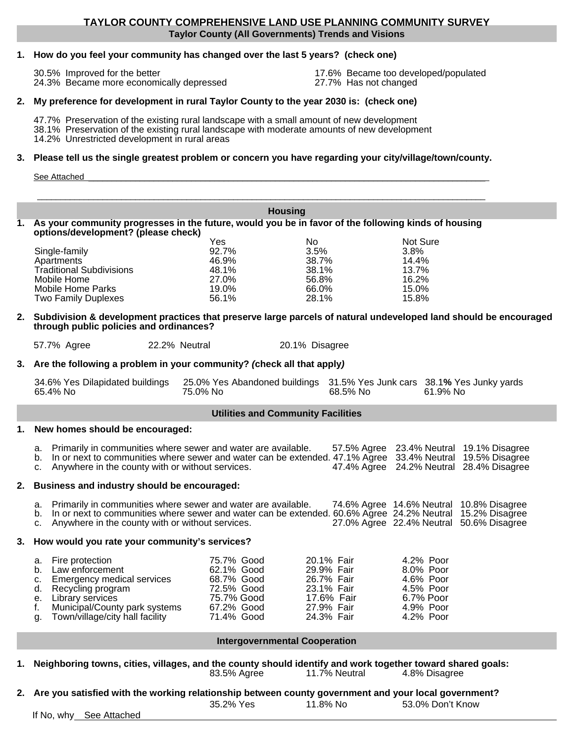#### **Taylor County (All Governments) Trends and Visions TAYLOR COUNTY COMPREHENSIVE LAND USE PLANNING COMMUNITY SURVEY**

#### **1. How do you feel your community has changed over the last 5 years? (check one)**

30.5% Improved for the better 17.6% Became too developed/populated<br>24.3% Became more economically depressed 27.7% Has not changed 24.3% Became more economically depressed

#### **2. My preference for development in rural Taylor County to the year 2030 is: (check one)**

47.7% Preservation of the existing rural landscape with a small amount of new development 38.1% Preservation of the existing rural landscape with moderate amounts of new development 14.2% Unrestricted development in rural areas

#### **3. Please tell us the single greatest problem or concern you have regarding your city/village/town/county.**

| -50 |  |  |
|-----|--|--|
|     |  |  |
|     |  |  |

**Housing**

#### **1. As your community progresses in the future, would you be in favor of the following kinds of housing options/development? (please check)**  Yes No Not Sure Single-family 92.7% 3.5% 3.8% Apartments 46.9% 38.7% 14.4% Traditional Subdivisions 48.1% 38.1% 13.7% Mobile Home Mobile Home Parks 19.0% 66.0% 15.0%<br>Two Family Duplexes 56.1% 28.1% 15.8%

#### **2. Subdivision & development practices that preserve large parcels of natural undeveloped land should be encouraged through public policies and ordinances?**

57.7% Agree 22.2% Neutral 20.1% Disagree

**3.** Are the following a problem in your community? *(check all that apply)* 

|          | 34.6% Yes Dilapidated buildings 25.0% Yes Abandoned buildings 31.5% Yes Junk cars 38.1% Yes Junky yards |          |          |
|----------|---------------------------------------------------------------------------------------------------------|----------|----------|
| 65.4% No | 75.0% No                                                                                                | 68.5% No | 61.9% No |

#### **Utilities and Community Facilities**

#### **1. New homes should be encouraged:**

**Two Family Duplexes** 

| a. Primarily in communities where sewer and water are available.                                             |  | 57.5% Agree 23.4% Neutral 19.1% Disagree |
|--------------------------------------------------------------------------------------------------------------|--|------------------------------------------|
| b. In or next to communities where sewer and water can be extended. 47.1% Agree 33.4% Neutral 19.5% Disagree |  |                                          |
| c. Anywhere in the county with or without services.                                                          |  | 47.4% Agree 24.2% Neutral 28.4% Disagree |

#### **2. Business and industry should be encouraged:**

| a. Primarily in communities where sewer and water are available.                                             |  | 74.6% Agree 14.6% Neutral 10.8% Disagree |
|--------------------------------------------------------------------------------------------------------------|--|------------------------------------------|
| b. In or next to communities where sewer and water can be extended. 60.6% Agree 24.2% Neutral 15.2% Disagree |  |                                          |
| c. Anywhere in the county with or without services.                                                          |  | 27.0% Agree 22.4% Neutral 50.6% Disagree |

#### **3. How would you rate your community's services?**

| a. Fire protection                 | 75.7% Good | 20.1% Fair | 4.2% Poor |
|------------------------------------|------------|------------|-----------|
| b. Law enforcement                 | 62.1% Good | 29.9% Fair | 8.0% Poor |
| c. Emergency medical services      | 68.7% Good | 26.7% Fair | 4.6% Poor |
| d. Recycling program               | 72.5% Good | 23.1% Fair | 4.5% Poor |
| e. Library services                | 75.7% Good | 17.6% Fair | 6.7% Poor |
| f. Municipal/County park systems   | 67.2% Good | 27.9% Fair | 4.9% Poor |
| g. Town/village/city hall facility | 71.4% Good | 24.3% Fair | 4.2% Poor |

#### **Intergovernmental Cooperation**

- **1. Neighboring towns, cities, villages, and the county should identify and work together toward shared goals:** 83.5% Agree 11.7% Neutral 4.8% Disagree
- **2. Are you satisfied with the working relationship between county government and your local government?**  35.2% Yes 11.8% No 53.0% Don't Know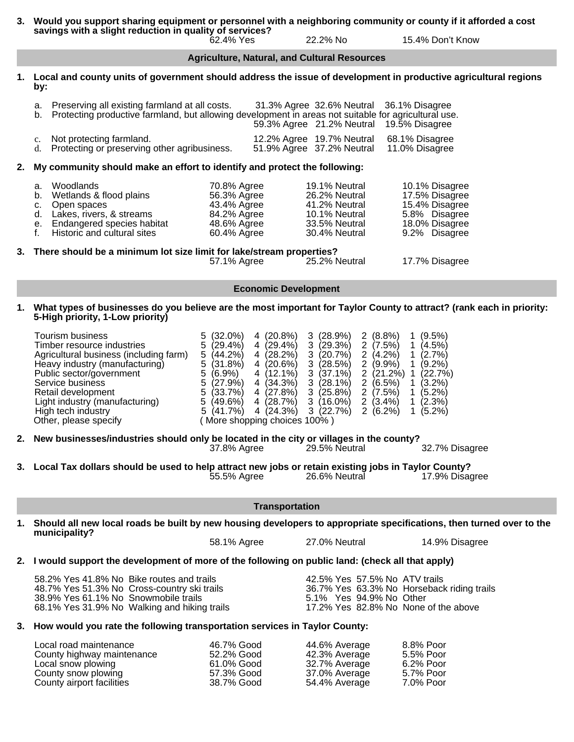**3. Would you support sharing equipment or personnel with a neighboring community or county if it afforded a cost savings with a slight reduction in quality of services?**<br>62.4% Yes 22.2% No 15.4% Don't Know

**1. Local and county units of government should address the issue of development in productive agricultural regions by:**

**Agriculture, Natural, and Cultural Resources**

| a. Preserving all existing farmland at all costs.                                                       |  | 31.3% Agree 32.6% Neutral 36.1% Disagree      |
|---------------------------------------------------------------------------------------------------------|--|-----------------------------------------------|
| b. Protecting productive farmland, but allowing development in areas not suitable for agricultural use. |  |                                               |
|                                                                                                         |  | -59.3% Agree - 21.2% Neutral - 19.5% Disagree |

| c. Not protecting farmland.                     |  | 12.2% Agree 19.7% Neutral 68.1% Disagree |
|-------------------------------------------------|--|------------------------------------------|
| d. Protecting or preserving other agribusiness. |  | 51.9% Agree 37.2% Neutral 11.0% Disagree |

#### **2. My community should make an effort to identify and protect the following:**

|    | e. Endangered species habitat<br>Historic and cultural sites<br>3. There should be a minimum lot size limit for lake/stream properties? | 48.6% Agree<br>60.4% Agree | 33.5% Neutral<br>30.4% Neutral | 18.0% Disagree<br>9.2% Disagree |
|----|-----------------------------------------------------------------------------------------------------------------------------------------|----------------------------|--------------------------------|---------------------------------|
|    | d. Lakes, rivers, & streams                                                                                                             | 84.2% Agree                | 10.1% Neutral                  | 5.8% Disagree                   |
|    | c. Open spaces                                                                                                                          | 43.4% Agree                | 41.2% Neutral                  | 15.4% Disagree                  |
| b. | Wetlands & flood plains                                                                                                                 | 56.3% Agree                | 26.2% Neutral                  | 17.5% Disagree                  |
|    | a. Woodlands                                                                                                                            | 70.8% Agree                | 19.1% Neutral                  | 10.1% Disagree                  |

57.1% Agree 25.2% Neutral 17.7% Disagree

#### **Economic Development**

**1. What types of businesses do you believe are the most important for Taylor County to attract? (rank each in priority: 5-High priority, 1-Low priority)** 

|    | Tourism business<br>Timber resource industries<br>Agricultural business (including farm)<br>Heavy industry (manufacturing)<br>Public sector/government<br>Service business<br>Retail development<br>Light industry (manufacturing)<br>High tech industry<br>Other, please specify | $(32.0\%)$<br>5.<br>(29.4%)<br>5<br>5<br>(44.2%)<br>5<br>(31.8%)<br>$\sqrt{5}$<br>$(6.9\%)$<br>$\sqrt{5}$<br>(27.9%)<br>5<br>(33.7%)<br>5<br>$(49.6\%)$<br>5<br>$(41.7\%)$<br>(More shopping choices 100%) | 4 (20.8%)<br>4 (28.2%)<br>4 (20.6%) | 3(28.9%)<br>$4(29.4\%)$ 3 $(29.3\%)$<br>3(20.7%)<br>3(28.5%)<br>$4(12.1\%)$ 3 (37.1%)<br>4 $(34.3\%)$ 3 $(28.1\%)$<br>4 $(27.8\%)$ 3 $(25.8\%)$<br>$(28.7\%)$ 3 $(16.0\%)$<br>4 $(24.3\%)$ 3 $(22.7\%)$ | 2(8.8%)<br>2(7.5%)<br>2(4.2%)<br>$2(9.9\%)$<br>$2(21.2%)$ 1<br>2(6.5%)<br>2(7.5%)<br>2(3.4%)<br>2(6.2%) | $\mathbf{1}$<br>$\mathbf{1}$<br>$\mathbf{1}$<br>$\mathbf{1}$<br>$\mathbf{1}$<br>$\mathbf{1}$ | $(9.5\%)$<br>$(4.5\%)$<br>(2.7%<br>$(9.2\%)$<br>(22.7%)<br>$(3.2\%)$<br>(5.2%)<br>$(2.3\%)$<br>$1(5.2\%)$ |
|----|-----------------------------------------------------------------------------------------------------------------------------------------------------------------------------------------------------------------------------------------------------------------------------------|------------------------------------------------------------------------------------------------------------------------------------------------------------------------------------------------------------|-------------------------------------|---------------------------------------------------------------------------------------------------------------------------------------------------------------------------------------------------------|---------------------------------------------------------------------------------------------------------|----------------------------------------------------------------------------------------------|-----------------------------------------------------------------------------------------------------------|
| 2. | New businesses/industries should only be located in the city or villages in the county?                                                                                                                                                                                           | 37.8% Agree                                                                                                                                                                                                |                                     | 29.5% Neutral                                                                                                                                                                                           |                                                                                                         |                                                                                              | 32.7% Disagree                                                                                            |
|    | 3. Local Tax dollars should be used to help attract new jobs or retain existing jobs in Taylor County?                                                                                                                                                                            | 55.5% Agree                                                                                                                                                                                                |                                     | 26.6% Neutral                                                                                                                                                                                           |                                                                                                         |                                                                                              | 17.9% Disagree                                                                                            |
|    |                                                                                                                                                                                                                                                                                   |                                                                                                                                                                                                            | <b>Transportation</b>               |                                                                                                                                                                                                         |                                                                                                         |                                                                                              |                                                                                                           |
| 1. | Should all new local roads be built by new housing developers to appropriate specifications, then turned over to the<br>municipality?                                                                                                                                             |                                                                                                                                                                                                            |                                     |                                                                                                                                                                                                         |                                                                                                         |                                                                                              |                                                                                                           |
|    |                                                                                                                                                                                                                                                                                   | 58.1% Agree                                                                                                                                                                                                |                                     | 27.0% Neutral                                                                                                                                                                                           |                                                                                                         |                                                                                              | 14.9% Disagree                                                                                            |
|    | 2. I would support the development of more of the following on public land: (check all that apply)                                                                                                                                                                                |                                                                                                                                                                                                            |                                     |                                                                                                                                                                                                         |                                                                                                         |                                                                                              |                                                                                                           |
|    | 58.2% Yes 41.8% No Bike routes and trails<br>48.7% Yes 51.3% No Cross-country ski trails<br>38.9% Yes 61.1% No Snowmobile trails<br>68.1% Yes 31.9% No Walking and hiking trails                                                                                                  |                                                                                                                                                                                                            |                                     | 42.5% Yes 57.5% No ATV trails<br>5.1% Yes 94.9% No Other                                                                                                                                                |                                                                                                         |                                                                                              | 36.7% Yes 63.3% No Horseback riding trails<br>17.2% Yes 82.8% No None of the above                        |
|    | 3. How would you rate the following transportation services in Taylor County:                                                                                                                                                                                                     |                                                                                                                                                                                                            |                                     |                                                                                                                                                                                                         |                                                                                                         |                                                                                              |                                                                                                           |
|    | Local road maintenance<br>County highway maintenance                                                                                                                                                                                                                              | 46.7% Good<br>52.2% Good                                                                                                                                                                                   |                                     | 44.6% Average<br>$42.3\%$ Average                                                                                                                                                                       |                                                                                                         |                                                                                              | 8.8% Poor<br>5.5% Poor                                                                                    |

| 46.7% Good | 44.6% Average | 8.8% Poor |
|------------|---------------|-----------|
| 52.2% Good | 42.3% Average | 5.5% Poor |
| 61.0% Good | 32.7% Average | 6.2% Poor |
| 57.3% Good | 37.0% Average | 5.7% Poor |
| 38.7% Good | 54.4% Average | 7.0% Poor |
|            |               |           |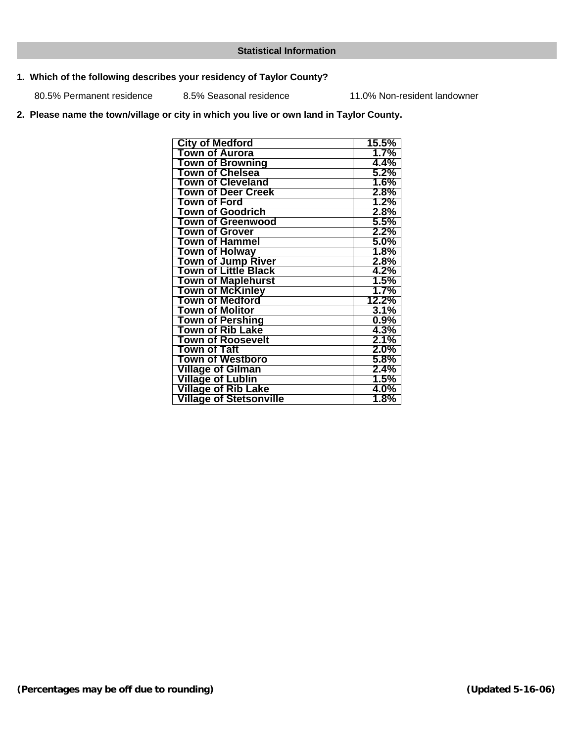### **Statistical Information**

### **1. Which of the following describes your residency of Taylor County?**

80.5% Permanent residence 8.5% Seasonal residence 11.0% Non-resident landowner

### **2. Please name the town/village or city in which you live or own land in Taylor County.**

| <b>City of Medford</b>         | 15.5%   |
|--------------------------------|---------|
| <b>Town of Aurora</b>          | $1.7\%$ |
| Town of Browning               | 4.4%    |
| Town of Chelsea                | $5.2\%$ |
| <b>Town of Cleveland</b>       | 1.6%    |
| Town of Deer Creek             | $2.8\%$ |
| <b>Town of Ford</b>            | 1.2%    |
| <b>Town of Goodrich</b>        | $2.8\%$ |
| Town of Greenwood              | $5.5\%$ |
| <b>Town of Grover</b>          | $2.2\%$ |
| <b>Town of Hammel</b>          | $5.0\%$ |
| <b>Town of Holway</b>          | 1.8%    |
| <b>Town of Jump River</b>      | 2.8%    |
| <b>Town of Little Black</b>    | 4.2%    |
| <b>Town of Maplehurst</b>      | 1.5%    |
| <b>Town of McKinley</b>        | $1.7\%$ |
| <b>Town of Medford</b>         | 12.2%   |
| <b>Town of Molitor</b>         | 3.1%    |
| <b>Town of Pershing</b>        | $0.9\%$ |
| <b>Town of Rib Lake</b>        | 4.3%    |
| Town of Roosevelt              | $2.1\%$ |
| <b>Town of Taft</b>            | $2.0\%$ |
| Town of Westboro               | $5.8\%$ |
| <b>Village of Gilman</b>       | $2.4\%$ |
| <b>Village of Lublin</b>       | 1.5%    |
| <b>Village of Rib Lake</b>     | 4.0%    |
| <b>Village of Stetsonville</b> | 1.8%    |